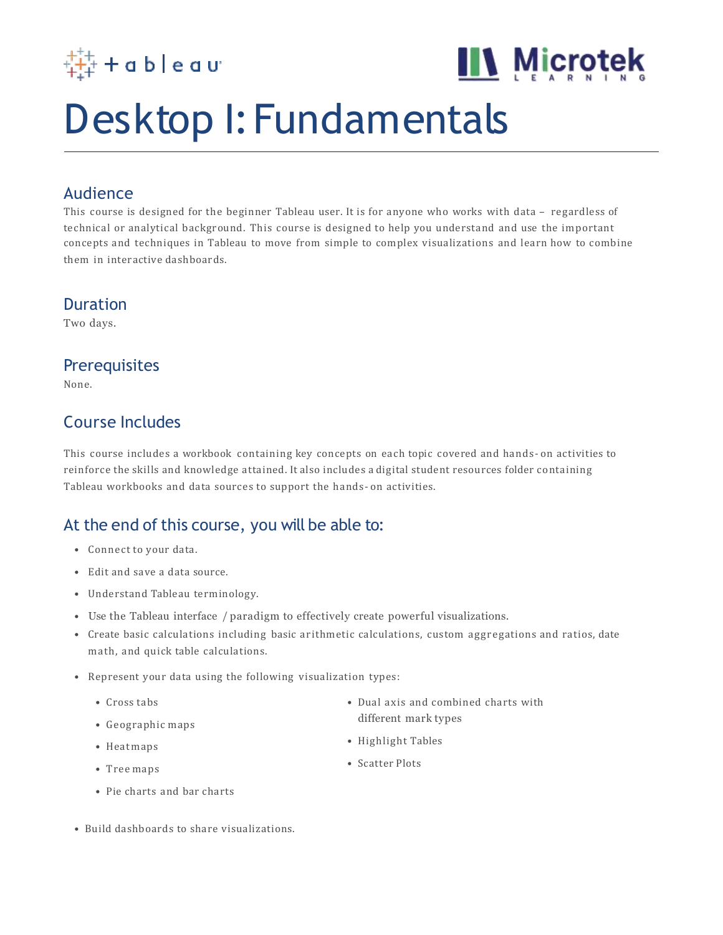



## Desktop I: Fundamentals

#### Audience

This course is designed for the beginner Tableau user. It is for anyone who works with data – regardless of technical or analytical background. This course is designed to help you understand and use the important concepts and techniques in Tableau to move from simple to complex visualizations and learn how to combine them in interactive dashboards.

#### Duration

Two days.

#### **Prerequisites**

None.

### Course Includes

This course includes a workbook containing key concepts on each topic covered and hands- on activities to reinforce the skills and knowledge attained. It also includes a digital student resources folder containing Tableau workbooks and data sources to support the hands- on activities.

## At the end of this course, you will be able to:

- Connect to your data.
- Edit and save a data source.
- Understand Tableau terminology.
- Use the Tableau interface / paradigm to effectively create powerful visualizations.
- Create basic calculations including basic arithmetic calculations, custom aggregations and ratios, date math, and quick table calculations.
- Represent your data using the following visualization types:
	- Cross tabs
	- Geographic maps
	- Heatmaps
	- Tree maps
	- Pie charts and bar charts
- Build dashboards to share visualizations.
- Dual axis and combined charts with different mark types
- Highlight Tables
- Scatter Plots